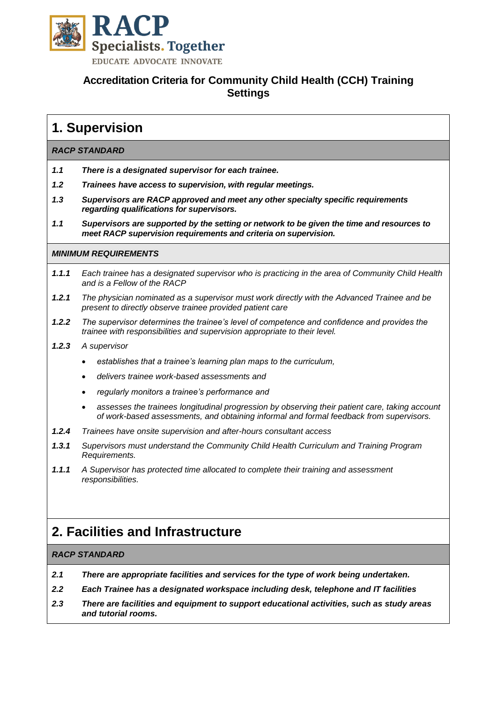

# **Accreditation Criteria for Community Child Health (CCH) Training Settings**

# **1. Supervision**

### *RACP STANDARD*

- *1.1 There is a designated supervisor for each trainee.*
- *1.2 Trainees have access to supervision, with regular meetings.*
- *1.3 Supervisors are RACP approved and meet any other specialty specific requirements regarding qualifications for supervisors.*
- *1.1 Supervisors are supported by the setting or network to be given the time and resources to meet RACP supervision requirements and criteria on supervision.*

#### *MINIMUM REQUIREMENTS*

- *1.1.1 Each trainee has a designated supervisor who is practicing in the area of Community Child Health and is a Fellow of the RACP*
- *1.2.1 The physician nominated as a supervisor must work directly with the Advanced Trainee and be present to directly observe trainee provided patient care*
- *1.2.2 The supervisor determines the trainee's level of competence and confidence and provides the trainee with responsibilities and supervision appropriate to their level.*
- *1.2.3 A supervisor* 
	- *establishes that a trainee's learning plan maps to the curriculum,*
	- *delivers trainee work-based assessments and*
	- *regularly monitors a trainee's performance and*
	- *assesses the trainees longitudinal progression by observing their patient care, taking account of work-based assessments, and obtaining informal and formal feedback from supervisors.*
- *1.2.4 Trainees have onsite supervision and after-hours consultant access*
- *1.3.1 Supervisors must understand the Community Child Health Curriculum and Training Program Requirements.*
- *1.1.1 A Supervisor has protected time allocated to complete their training and assessment responsibilities.*

# **2. Facilities and Infrastructure**

### *RACP STANDARD*

- *2.1 There are appropriate facilities and services for the type of work being undertaken.*
- *2.2 Each Trainee has a designated workspace including desk, telephone and IT facilities*
- *2.3 There are facilities and equipment to support educational activities, such as study areas and tutorial rooms.*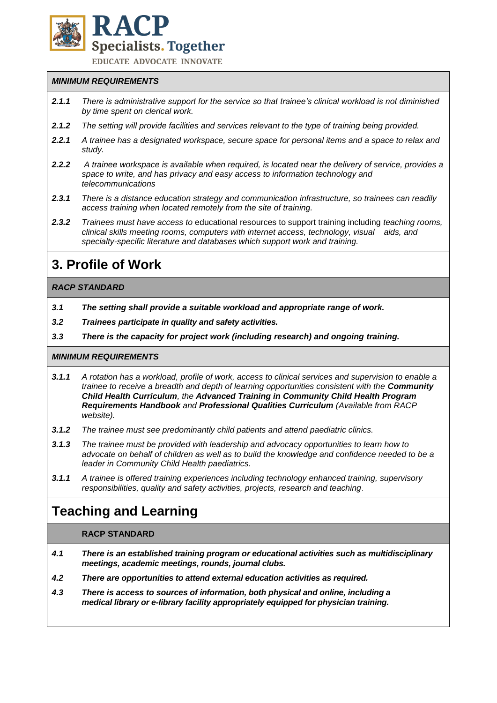

**EDUCATE ADVOCATE INNOVATE** 

## *MINIMUM REQUIREMENTS*

- *2.1.1 There is administrative support for the service so that trainee's clinical workload is not diminished by time spent on clerical work.*
- *2.1.2 The setting will provide facilities and services relevant to the type of training being provided.*
- *2.2.1 A trainee has a designated workspace, secure space for personal items and a space to relax and study.*
- *2.2.2 A trainee workspace is available when required, is located near the delivery of service, provides a space to write, and has privacy and easy access to information technology and telecommunications*
- *2.3.1 There is a distance education strategy and communication infrastructure, so trainees can readily access training when located remotely from the site of training.*
- *2.3.2 Trainees must have access to* educational resources to support training including *teaching rooms, clinical skills meeting rooms, computers with internet access, technology, visual aids, and specialty-specific literature and databases which support work and training.*

# **3. Profile of Work**

## *RACP STANDARD*

- *3.1 The setting shall provide a suitable workload and appropriate range of work.*
- *3.2 Trainees participate in quality and safety activities.*
- *3.3 There is the capacity for project work (including research) and ongoing training.*

#### *MINIMUM REQUIREMENTS*

- *3.1.1 A rotation has a workload, profile of work, access to clinical services and supervision to enable a trainee to receive a breadth and depth of learning opportunities consistent with the Community Child Health Curriculum, the Advanced Training in Community Child Health Program Requirements Handbook and Professional Qualities Curriculum (Available from RACP website).*
- *3.1.2 The trainee must see predominantly child patients and attend paediatric clinics.*
- *3.1.3 The trainee must be provided with leadership and advocacy opportunities to learn how to advocate on behalf of children as well as to build the knowledge and confidence needed to be a leader in Community Child Health paediatrics.*
- *3.1.1 A trainee is offered training experiences including technology enhanced training, supervisory responsibilities, quality and safety activities, projects, research and teaching*.

# **Teaching and Learning**

### **RACP STANDARD**

- *4.1 There is an established training program or educational activities such as multidisciplinary meetings, academic meetings, rounds, journal clubs.*
- *4.2 There are opportunities to attend external education activities as required.*
- *4.3 There is access to sources of information, both physical and online, including a medical library or e-library facility appropriately equipped for physician training.*